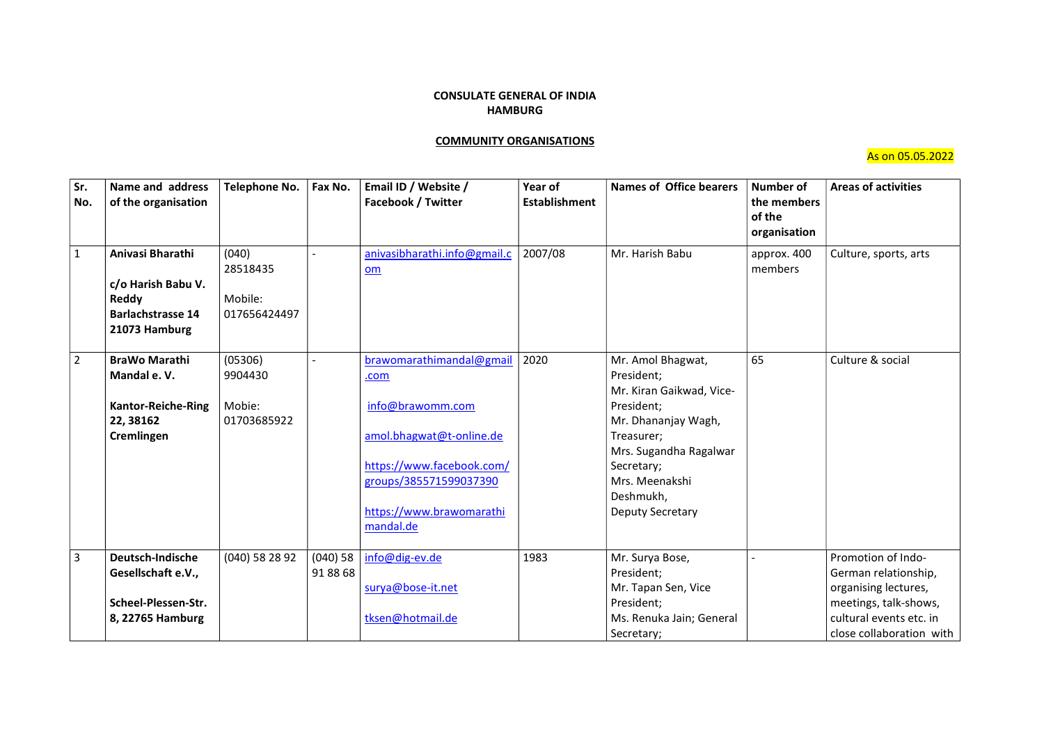## CONSULATE GENERAL OF INDIA HAMBURG

## COMMUNITY ORGANISATIONS

As on 05.05.2022

| Sr.<br>No.     | Name and address<br>of the organisation                                                      | <b>Telephone No.</b>                         | Fax No.                | Email ID / Website /<br><b>Facebook / Twitter</b>                                                                                                                                | Year of<br><b>Establishment</b> | <b>Names of Office bearers</b>                                                                                                                                                                                   | <b>Number of</b><br>the members<br>of the<br>organisation | <b>Areas of activities</b>                                                                                                                         |
|----------------|----------------------------------------------------------------------------------------------|----------------------------------------------|------------------------|----------------------------------------------------------------------------------------------------------------------------------------------------------------------------------|---------------------------------|------------------------------------------------------------------------------------------------------------------------------------------------------------------------------------------------------------------|-----------------------------------------------------------|----------------------------------------------------------------------------------------------------------------------------------------------------|
| $\mathbf{1}$   | Anivasi Bharathi<br>c/o Harish Babu V.<br>Reddy<br><b>Barlachstrasse 14</b><br>21073 Hamburg | (040)<br>28518435<br>Mobile:<br>017656424497 |                        | anivasibharathi.info@gmail.c<br>om                                                                                                                                               | 2007/08                         | Mr. Harish Babu                                                                                                                                                                                                  | approx. 400<br>members                                    | Culture, sports, arts                                                                                                                              |
| $\overline{2}$ | <b>BraWo Marathi</b><br>Mandal e.V.<br><b>Kantor-Reiche-Ring</b><br>22, 38162<br>Cremlingen  | (05306)<br>9904430<br>Mobie:<br>01703685922  |                        | brawomarathimandal@gmail<br>.com<br>info@brawomm.com<br>amol.bhagwat@t-online.de<br>https://www.facebook.com/<br>groups/385571599037390<br>https://www.brawomarathi<br>mandal.de | 2020                            | Mr. Amol Bhagwat,<br>President:<br>Mr. Kiran Gaikwad, Vice-<br>President;<br>Mr. Dhananjay Wagh,<br>Treasurer;<br>Mrs. Sugandha Ragalwar<br>Secretary;<br>Mrs. Meenakshi<br>Deshmukh,<br><b>Deputy Secretary</b> | 65                                                        | Culture & social                                                                                                                                   |
| $\overline{3}$ | Deutsch-Indische<br>Gesellschaft e.V.,<br>Scheel-Plessen-Str.<br>8, 22765 Hamburg            | (040) 58 28 92                               | $(040)$ 58<br>91 88 68 | info@dig-ev.de<br>surya@bose-it.net<br>tksen@hotmail.de                                                                                                                          | 1983                            | Mr. Surya Bose,<br>President;<br>Mr. Tapan Sen, Vice<br>President;<br>Ms. Renuka Jain; General<br>Secretary;                                                                                                     |                                                           | Promotion of Indo-<br>German relationship,<br>organising lectures,<br>meetings, talk-shows,<br>cultural events etc. in<br>close collaboration with |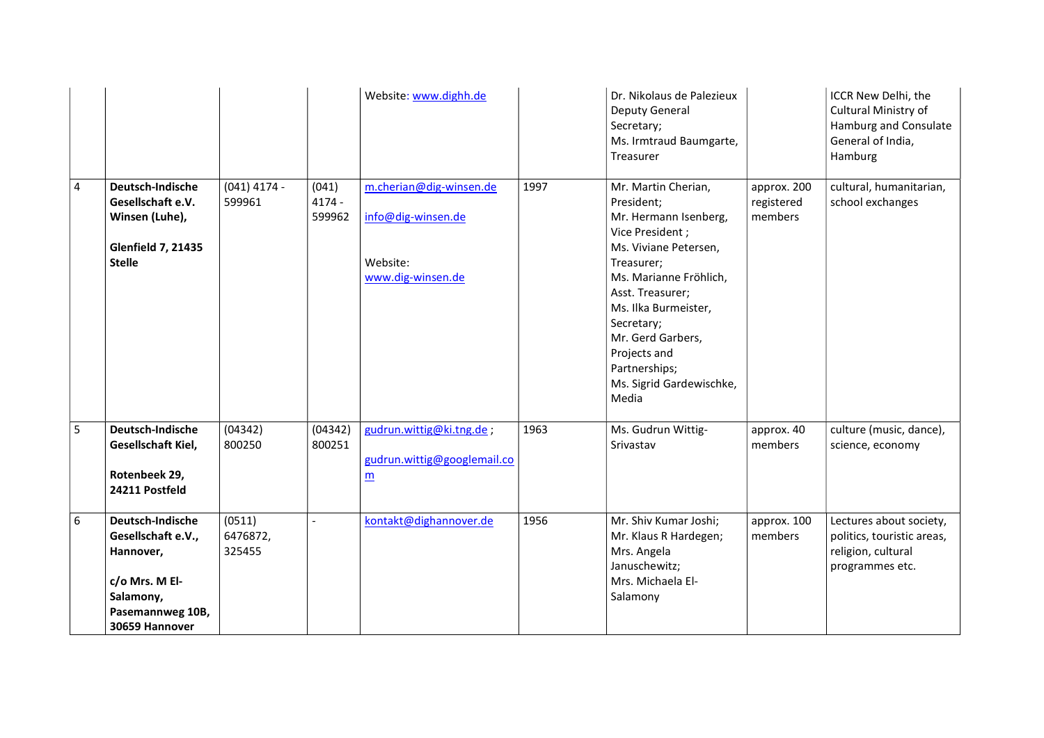|                |                                                                                                                          |                              |                             | Website: www.dighh.de                                                          |      | Dr. Nikolaus de Palezieux<br>Deputy General<br>Secretary;<br>Ms. Irmtraud Baumgarte,<br>Treasurer                                                                                                                                                                                                   |                                      | ICCR New Delhi, the<br>Cultural Ministry of<br>Hamburg and Consulate<br>General of India,<br>Hamburg |
|----------------|--------------------------------------------------------------------------------------------------------------------------|------------------------------|-----------------------------|--------------------------------------------------------------------------------|------|-----------------------------------------------------------------------------------------------------------------------------------------------------------------------------------------------------------------------------------------------------------------------------------------------------|--------------------------------------|------------------------------------------------------------------------------------------------------|
| $\overline{4}$ | Deutsch-Indische<br>Gesellschaft e.V.<br>Winsen (Luhe),<br><b>Glenfield 7, 21435</b><br><b>Stelle</b>                    | $(041)$ 4174 -<br>599961     | (041)<br>$4174 -$<br>599962 | m.cherian@dig-winsen.de<br>info@dig-winsen.de<br>Website:<br>www.dig-winsen.de | 1997 | Mr. Martin Cherian,<br>President;<br>Mr. Hermann Isenberg,<br>Vice President;<br>Ms. Viviane Petersen,<br>Treasurer;<br>Ms. Marianne Fröhlich,<br>Asst. Treasurer;<br>Ms. Ilka Burmeister,<br>Secretary;<br>Mr. Gerd Garbers,<br>Projects and<br>Partnerships;<br>Ms. Sigrid Gardewischke,<br>Media | approx. 200<br>registered<br>members | cultural, humanitarian,<br>school exchanges                                                          |
| 5              | Deutsch-Indische<br>Gesellschaft Kiel,<br>Rotenbeek 29,<br>24211 Postfeld                                                | (04342)<br>800250            | (04342)<br>800251           | gudrun.wittig@ki.tng.de;<br>gudrun.wittig@googlemail.co<br>m                   | 1963 | Ms. Gudrun Wittig-<br>Srivastav                                                                                                                                                                                                                                                                     | approx. 40<br>members                | culture (music, dance),<br>science, economy                                                          |
| 6              | Deutsch-Indische<br>Gesellschaft e.V.,<br>Hannover,<br>c/o Mrs. M El-<br>Salamony,<br>Pasemannweg 10B,<br>30659 Hannover | (0511)<br>6476872,<br>325455 |                             | kontakt@dighannover.de                                                         | 1956 | Mr. Shiv Kumar Joshi;<br>Mr. Klaus R Hardegen;<br>Mrs. Angela<br>Januschewitz;<br>Mrs. Michaela El-<br>Salamony                                                                                                                                                                                     | approx. 100<br>members               | Lectures about society,<br>politics, touristic areas,<br>religion, cultural<br>programmes etc.       |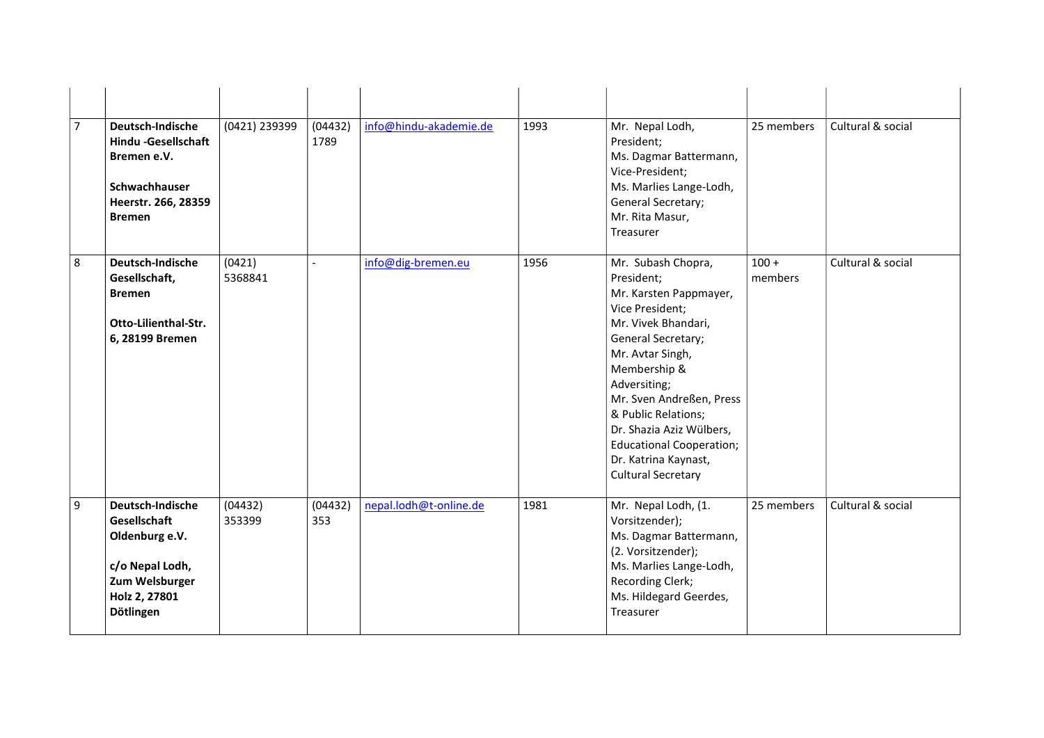| $\overline{7}$ | Deutsch-Indische<br><b>Hindu-Gesellschaft</b><br>Bremen e.V.<br>Schwachhauser<br>Heerstr. 266, 28359<br><b>Bremen</b> | (0421) 239399     | (04432)<br>1789 | info@hindu-akademie.de | 1993 | Mr. Nepal Lodh,<br>President;<br>Ms. Dagmar Battermann,<br>Vice-President;<br>Ms. Marlies Lange-Lodh,<br>General Secretary;<br>Mr. Rita Masur,<br>Treasurer                                                                                                                                                                                           | 25 members         | Cultural & social |
|----------------|-----------------------------------------------------------------------------------------------------------------------|-------------------|-----------------|------------------------|------|-------------------------------------------------------------------------------------------------------------------------------------------------------------------------------------------------------------------------------------------------------------------------------------------------------------------------------------------------------|--------------------|-------------------|
| 8              | Deutsch-Indische<br>Gesellschaft,<br><b>Bremen</b><br>Otto-Lilienthal-Str.<br>6, 28199 Bremen                         | (0421)<br>5368841 |                 | info@dig-bremen.eu     | 1956 | Mr. Subash Chopra,<br>President;<br>Mr. Karsten Pappmayer,<br>Vice President;<br>Mr. Vivek Bhandari,<br>General Secretary;<br>Mr. Avtar Singh,<br>Membership &<br>Adversiting;<br>Mr. Sven Andreßen, Press<br>& Public Relations;<br>Dr. Shazia Aziz Wülbers,<br><b>Educational Cooperation;</b><br>Dr. Katrina Kaynast,<br><b>Cultural Secretary</b> | $100 +$<br>members | Cultural & social |
| 9              | Deutsch-Indische<br>Gesellschaft<br>Oldenburg e.V.<br>c/o Nepal Lodh,<br>Zum Welsburger<br>Holz 2, 27801<br>Dötlingen | (04432)<br>353399 | (04432)<br>353  | nepal.lodh@t-online.de | 1981 | Mr. Nepal Lodh, (1.<br>Vorsitzender);<br>Ms. Dagmar Battermann,<br>(2. Vorsitzender);<br>Ms. Marlies Lange-Lodh,<br>Recording Clerk;<br>Ms. Hildegard Geerdes,<br>Treasurer                                                                                                                                                                           | 25 members         | Cultural & social |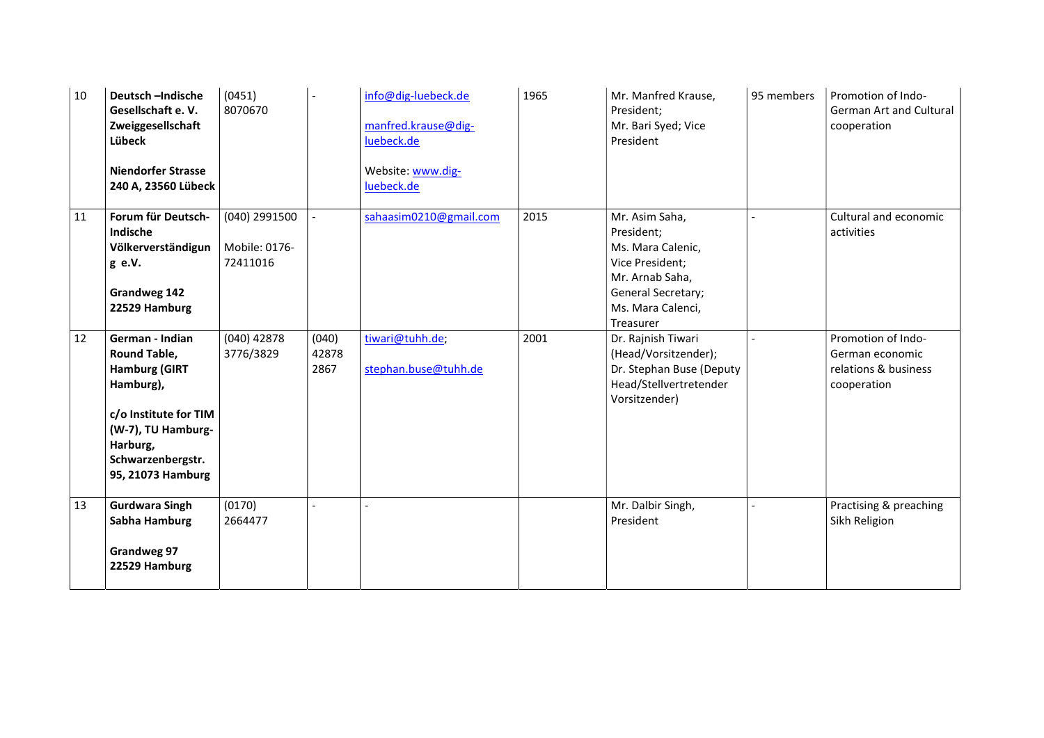| 10 | Deutsch-Indische<br>Gesellschaft e.V.<br>Zweiggesellschaft<br>Lübeck<br><b>Niendorfer Strasse</b><br>240 A, 23560 Lübeck                                                         | (0451)<br>8070670                          |                        | info@dig-luebeck.de<br>manfred.krause@dig-<br>luebeck.de<br>Website: www.dig-<br>luebeck.de | 1965 | Mr. Manfred Krause,<br>President;<br>Mr. Bari Syed; Vice<br>President                                                                           | 95 members | Promotion of Indo-<br><b>German Art and Cultural</b><br>cooperation          |
|----|----------------------------------------------------------------------------------------------------------------------------------------------------------------------------------|--------------------------------------------|------------------------|---------------------------------------------------------------------------------------------|------|-------------------------------------------------------------------------------------------------------------------------------------------------|------------|------------------------------------------------------------------------------|
| 11 | Forum für Deutsch-<br>Indische<br>Völkerverständigun<br>g e.V.<br>Grandweg 142<br>22529 Hamburg                                                                                  | (040) 2991500<br>Mobile: 0176-<br>72411016 |                        | sahaasim0210@gmail.com                                                                      | 2015 | Mr. Asim Saha,<br>President;<br>Ms. Mara Calenic,<br>Vice President;<br>Mr. Arnab Saha,<br>General Secretary;<br>Ms. Mara Calenci,<br>Treasurer |            | Cultural and economic<br>activities                                          |
| 12 | German - Indian<br><b>Round Table,</b><br><b>Hamburg (GIRT</b><br>Hamburg),<br>c/o Institute for TIM<br>(W-7), TU Hamburg-<br>Harburg,<br>Schwarzenbergstr.<br>95, 21073 Hamburg | $(040)$ 42878<br>3776/3829                 | (040)<br>42878<br>2867 | tiwari@tuhh.de;<br>stephan.buse@tuhh.de                                                     | 2001 | Dr. Rajnish Tiwari<br>(Head/Vorsitzender);<br>Dr. Stephan Buse (Deputy<br>Head/Stellvertretender<br>Vorsitzender)                               |            | Promotion of Indo-<br>German economic<br>relations & business<br>cooperation |
| 13 | <b>Gurdwara Singh</b><br>Sabha Hamburg<br>Grandweg 97<br>22529 Hamburg                                                                                                           | (0170)<br>2664477                          |                        |                                                                                             |      | Mr. Dalbir Singh,<br>President                                                                                                                  |            | Practising & preaching<br>Sikh Religion                                      |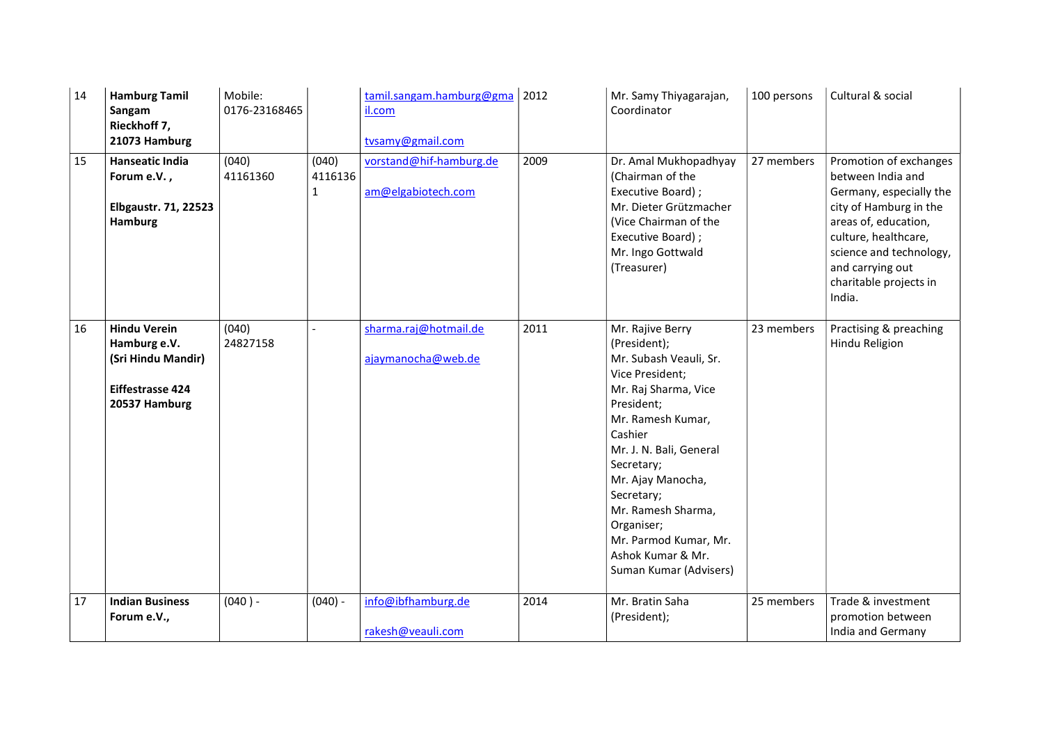| 14 | <b>Hamburg Tamil</b><br>Sangam<br>Rieckhoff 7,<br>21073 Hamburg                                       | Mobile:<br>0176-23168465 |                                  | tamil.sangam.hamburg@gma<br>il.com<br>tvsamy@gmail.com | 2012 | Mr. Samy Thiyagarajan,<br>Coordinator                                                                                                                                                                                                                                                                                                       | 100 persons | Cultural & social                                                                                                                                                                                                                   |
|----|-------------------------------------------------------------------------------------------------------|--------------------------|----------------------------------|--------------------------------------------------------|------|---------------------------------------------------------------------------------------------------------------------------------------------------------------------------------------------------------------------------------------------------------------------------------------------------------------------------------------------|-------------|-------------------------------------------------------------------------------------------------------------------------------------------------------------------------------------------------------------------------------------|
| 15 | <b>Hanseatic India</b><br>Forum e.V.,<br><b>Elbgaustr. 71, 22523</b><br>Hamburg                       | (040)<br>41161360        | (040)<br>4116136<br>$\mathbf{1}$ | vorstand@hif-hamburg.de<br>am@elgabiotech.com          | 2009 | Dr. Amal Mukhopadhyay<br>(Chairman of the<br>Executive Board);<br>Mr. Dieter Grützmacher<br>(Vice Chairman of the<br>Executive Board);<br>Mr. Ingo Gottwald<br>(Treasurer)                                                                                                                                                                  | 27 members  | Promotion of exchanges<br>between India and<br>Germany, especially the<br>city of Hamburg in the<br>areas of, education,<br>culture, healthcare,<br>science and technology,<br>and carrying out<br>charitable projects in<br>India. |
| 16 | <b>Hindu Verein</b><br>Hamburg e.V.<br>(Sri Hindu Mandir)<br><b>Eiffestrasse 424</b><br>20537 Hamburg | (040)<br>24827158        |                                  | sharma.raj@hotmail.de<br>ajaymanocha@web.de            | 2011 | Mr. Rajive Berry<br>(President);<br>Mr. Subash Veauli, Sr.<br>Vice President;<br>Mr. Raj Sharma, Vice<br>President;<br>Mr. Ramesh Kumar,<br>Cashier<br>Mr. J. N. Bali, General<br>Secretary;<br>Mr. Ajay Manocha,<br>Secretary;<br>Mr. Ramesh Sharma,<br>Organiser;<br>Mr. Parmod Kumar, Mr.<br>Ashok Kumar & Mr.<br>Suman Kumar (Advisers) | 23 members  | Practising & preaching<br>Hindu Religion                                                                                                                                                                                            |
| 17 | <b>Indian Business</b><br>Forum e.V.,                                                                 | $(040) -$                | $(040) -$                        | info@ibfhamburg.de<br>rakesh@veauli.com                | 2014 | Mr. Bratin Saha<br>(President);                                                                                                                                                                                                                                                                                                             | 25 members  | Trade & investment<br>promotion between<br>India and Germany                                                                                                                                                                        |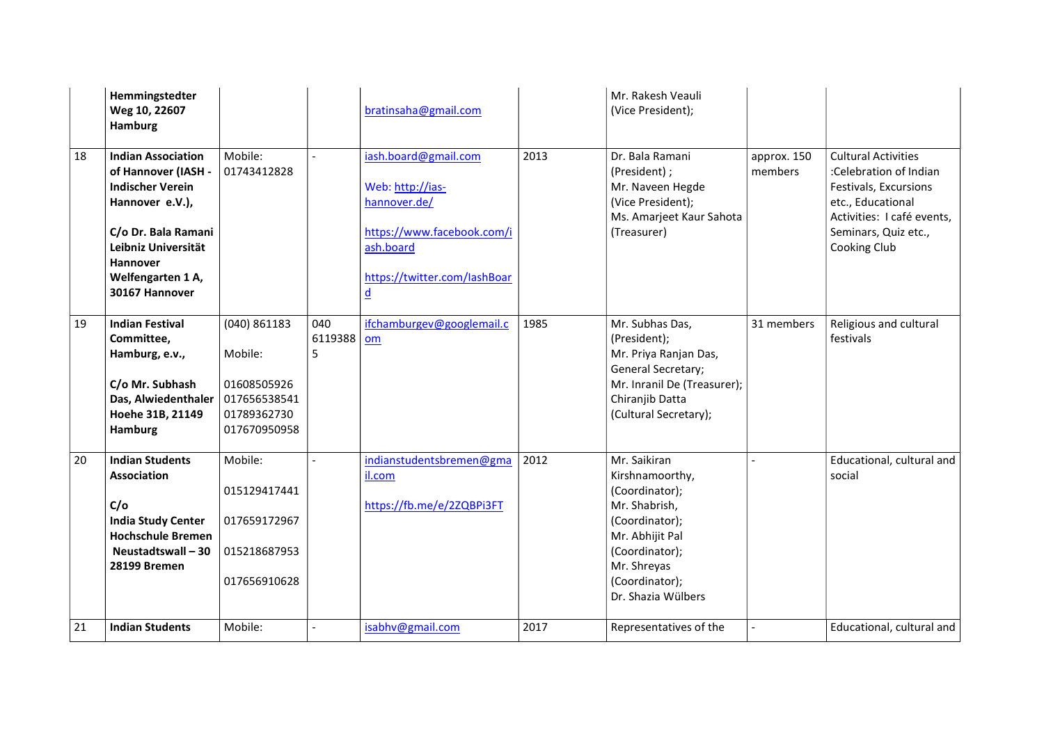|    | Hemmingstedter<br>Weg 10, 22607<br>Hamburg                                                                                                                                                      |                                                                                         |                     | bratinsaha@gmail.com                                                                                                                            |      | Mr. Rakesh Veauli<br>(Vice President);                                                                                                                                           |                        |                                                                                                                                                                          |
|----|-------------------------------------------------------------------------------------------------------------------------------------------------------------------------------------------------|-----------------------------------------------------------------------------------------|---------------------|-------------------------------------------------------------------------------------------------------------------------------------------------|------|----------------------------------------------------------------------------------------------------------------------------------------------------------------------------------|------------------------|--------------------------------------------------------------------------------------------------------------------------------------------------------------------------|
| 18 | <b>Indian Association</b><br>of Hannover (IASH -<br><b>Indischer Verein</b><br>Hannover e.V.),<br>C/o Dr. Bala Ramani<br>Leibniz Universität<br>Hannover<br>Welfengarten 1 A,<br>30167 Hannover | Mobile:<br>01743412828                                                                  |                     | iash.board@gmail.com<br>Web: http://ias-<br>hannover.de/<br>https://www.facebook.com/i<br>ash.board<br>https://twitter.com/lashBoar<br><u>d</u> | 2013 | Dr. Bala Ramani<br>(President);<br>Mr. Naveen Hegde<br>(Vice President);<br>Ms. Amarjeet Kaur Sahota<br>(Treasurer)                                                              | approx. 150<br>members | <b>Cultural Activities</b><br>:Celebration of Indian<br>Festivals, Excursions<br>etc., Educational<br>Activities: I café events,<br>Seminars, Quiz etc.,<br>Cooking Club |
| 19 | <b>Indian Festival</b><br>Committee,<br>Hamburg, e.v.,<br>C/o Mr. Subhash<br>Das, Alwiedenthaler<br>Hoehe 31B, 21149<br>Hamburg                                                                 | $(040)$ 861183<br>Mobile:<br>01608505926<br>017656538541<br>01789362730<br>017670950958 | 040<br>6119388<br>5 | ifchamburgev@googlemail.c<br>om                                                                                                                 | 1985 | Mr. Subhas Das,<br>(President);<br>Mr. Priya Ranjan Das,<br>General Secretary;<br>Mr. Inranil De (Treasurer);<br>Chiranjib Datta<br>(Cultural Secretary);                        | 31 members             | Religious and cultural<br>festivals                                                                                                                                      |
| 20 | <b>Indian Students</b><br><b>Association</b><br>C/O<br><b>India Study Center</b><br><b>Hochschule Bremen</b><br>Neustadtswall-30<br>28199 Bremen                                                | Mobile:<br>015129417441<br>017659172967<br>015218687953<br>017656910628                 |                     | indianstudentsbremen@gma<br>il.com<br>https://fb.me/e/2ZQBPi3FT                                                                                 | 2012 | Mr. Saikiran<br>Kirshnamoorthy,<br>(Coordinator);<br>Mr. Shabrish,<br>(Coordinator);<br>Mr. Abhijit Pal<br>(Coordinator);<br>Mr. Shreyas<br>(Coordinator);<br>Dr. Shazia Wülbers |                        | Educational, cultural and<br>social                                                                                                                                      |
| 21 | <b>Indian Students</b>                                                                                                                                                                          | Mobile:                                                                                 |                     | isabhv@gmail.com                                                                                                                                | 2017 | Representatives of the                                                                                                                                                           |                        | Educational, cultural and                                                                                                                                                |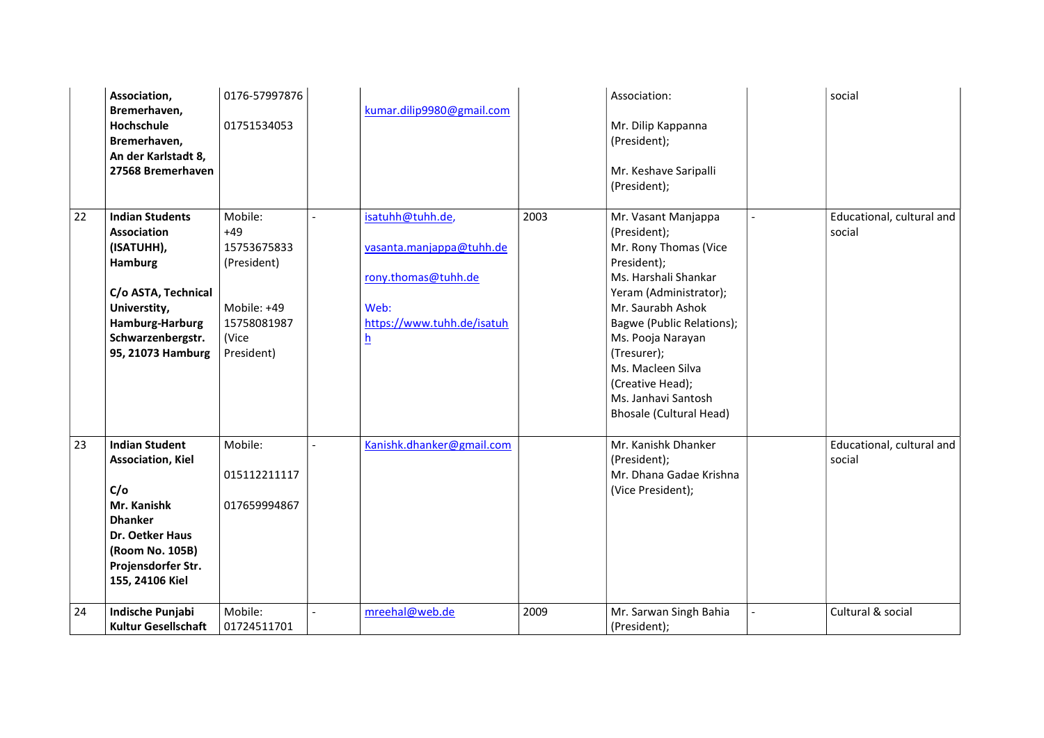|    | Association,                                                                                                                                                                     | 0176-57997876                                                                                       |                                                                                                                |      | Association:                                                                                                                                                                                                                                                                                                          | social                              |
|----|----------------------------------------------------------------------------------------------------------------------------------------------------------------------------------|-----------------------------------------------------------------------------------------------------|----------------------------------------------------------------------------------------------------------------|------|-----------------------------------------------------------------------------------------------------------------------------------------------------------------------------------------------------------------------------------------------------------------------------------------------------------------------|-------------------------------------|
|    | Bremerhaven,<br>Hochschule<br>Bremerhaven,<br>An der Karlstadt 8,<br>27568 Bremerhaven                                                                                           | 01751534053                                                                                         | kumar.dilip9980@gmail.com                                                                                      |      | Mr. Dilip Kappanna<br>(President);<br>Mr. Keshave Saripalli<br>(President);                                                                                                                                                                                                                                           |                                     |
| 22 | <b>Indian Students</b><br><b>Association</b><br>(ISATUHH),<br>Hamburg<br>C/o ASTA, Technical<br>Universtity,<br><b>Hamburg-Harburg</b><br>Schwarzenbergstr.<br>95, 21073 Hamburg | Mobile:<br>$+49$<br>15753675833<br>(President)<br>Mobile: +49<br>15758081987<br>(Vice<br>President) | isatuhh@tuhh.de,<br>vasanta.manjappa@tuhh.de<br>rony.thomas@tuhh.de<br>Web:<br>https://www.tuhh.de/isatuh<br>h | 2003 | Mr. Vasant Manjappa<br>(President);<br>Mr. Rony Thomas (Vice<br>President);<br>Ms. Harshali Shankar<br>Yeram (Administrator);<br>Mr. Saurabh Ashok<br>Bagwe (Public Relations);<br>Ms. Pooja Narayan<br>(Tresurer);<br>Ms. Macleen Silva<br>(Creative Head);<br>Ms. Janhavi Santosh<br><b>Bhosale (Cultural Head)</b> | Educational, cultural and<br>social |
| 23 | <b>Indian Student</b><br><b>Association, Kiel</b><br>C/O<br>Mr. Kanishk<br><b>Dhanker</b><br><b>Dr. Oetker Haus</b><br>(Room No. 105B)<br>Projensdorfer Str.<br>155, 24106 Kiel  | Mobile:<br>015112211117<br>017659994867                                                             | Kanishk.dhanker@gmail.com                                                                                      |      | Mr. Kanishk Dhanker<br>(President);<br>Mr. Dhana Gadae Krishna<br>(Vice President);                                                                                                                                                                                                                                   | Educational, cultural and<br>social |
| 24 | Indische Punjabi<br><b>Kultur Gesellschaft</b>                                                                                                                                   | Mobile:<br>01724511701                                                                              | mreehal@web.de                                                                                                 | 2009 | Mr. Sarwan Singh Bahia<br>(President);                                                                                                                                                                                                                                                                                | Cultural & social                   |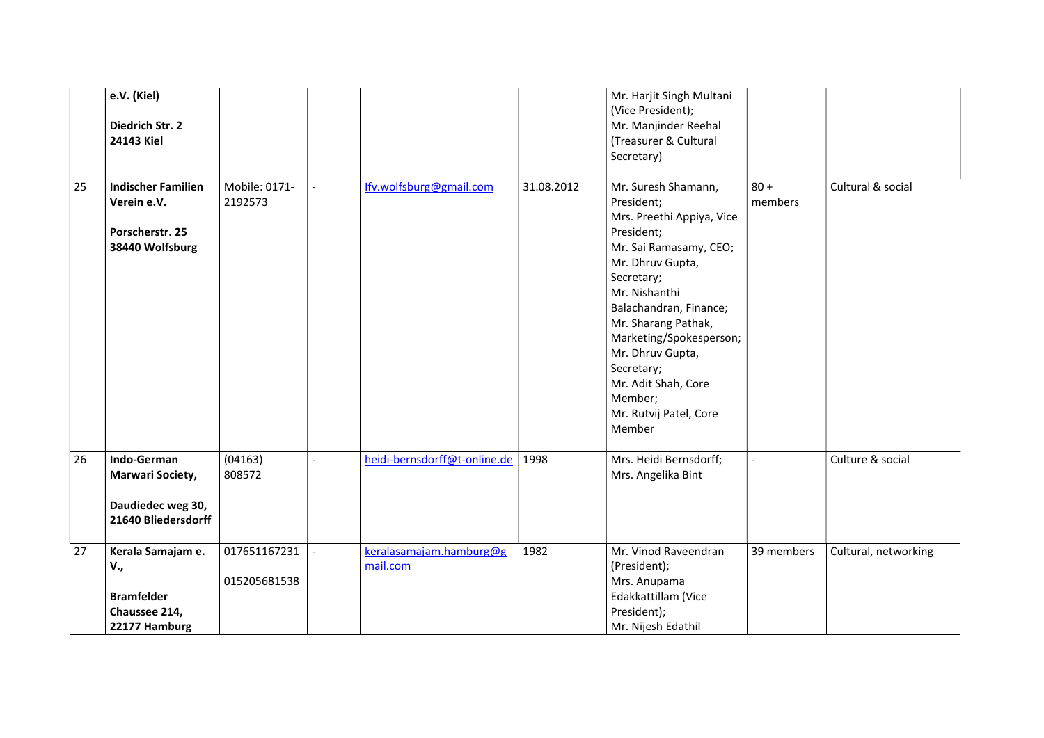|    | e.V. (Kiel)<br>Diedrich Str. 2<br>24143 Kiel                                       |                              |                                     |            | Mr. Harjit Singh Multani<br>(Vice President);<br>Mr. Manjinder Reehal<br>(Treasurer & Cultural<br>Secretary)                                                                                                                                                                                                                                  |                   |                      |
|----|------------------------------------------------------------------------------------|------------------------------|-------------------------------------|------------|-----------------------------------------------------------------------------------------------------------------------------------------------------------------------------------------------------------------------------------------------------------------------------------------------------------------------------------------------|-------------------|----------------------|
| 25 | <b>Indischer Familien</b><br>Verein e.V.<br>Porscherstr. 25<br>38440 Wolfsburg     | Mobile: 0171-<br>2192573     | Ifv.wolfsburg@gmail.com             | 31.08.2012 | Mr. Suresh Shamann,<br>President;<br>Mrs. Preethi Appiya, Vice<br>President;<br>Mr. Sai Ramasamy, CEO;<br>Mr. Dhruv Gupta,<br>Secretary;<br>Mr. Nishanthi<br>Balachandran, Finance;<br>Mr. Sharang Pathak,<br>Marketing/Spokesperson;<br>Mr. Dhruv Gupta,<br>Secretary;<br>Mr. Adit Shah, Core<br>Member;<br>Mr. Rutvij Patel, Core<br>Member | $80 +$<br>members | Cultural & social    |
| 26 | Indo-German<br><b>Marwari Society,</b><br>Daudiedec weg 30,<br>21640 Bliedersdorff | (04163)<br>808572            | heidi-bernsdorff@t-online.de        | 1998       | Mrs. Heidi Bernsdorff;<br>Mrs. Angelika Bint                                                                                                                                                                                                                                                                                                  |                   | Culture & social     |
| 27 | Kerala Samajam e.<br>V.,<br><b>Bramfelder</b><br>Chaussee 214,<br>22177 Hamburg    | 017651167231<br>015205681538 | keralasamajam.hamburg@g<br>mail.com | 1982       | Mr. Vinod Raveendran<br>(President);<br>Mrs. Anupama<br>Edakkattillam (Vice<br>President);<br>Mr. Nijesh Edathil                                                                                                                                                                                                                              | 39 members        | Cultural, networking |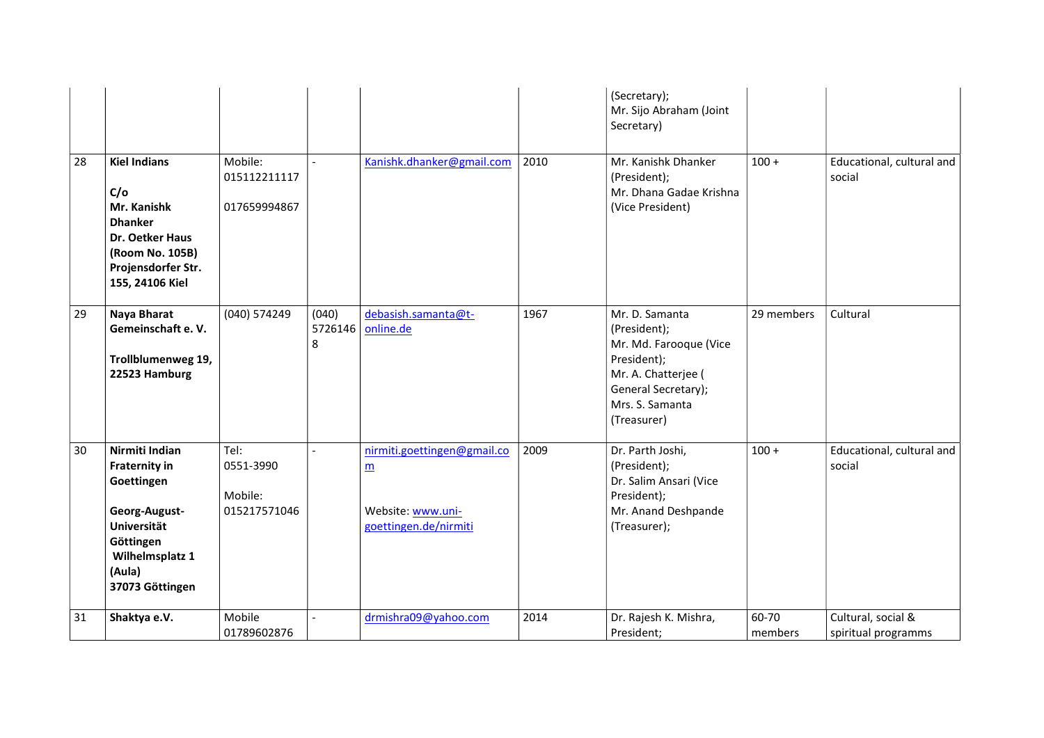|    |                                                                                                                                                   |                                              |                       |                                                                                              |      | (Secretary);<br>Mr. Sijo Abraham (Joint<br>Secretary)                                                                                                   |                  |                                           |
|----|---------------------------------------------------------------------------------------------------------------------------------------------------|----------------------------------------------|-----------------------|----------------------------------------------------------------------------------------------|------|---------------------------------------------------------------------------------------------------------------------------------------------------------|------------------|-------------------------------------------|
| 28 | <b>Kiel Indians</b><br>C/O<br>Mr. Kanishk<br><b>Dhanker</b><br>Dr. Oetker Haus<br>(Room No. 105B)<br>Projensdorfer Str.<br>155, 24106 Kiel        | Mobile:<br>015112211117<br>017659994867      |                       | Kanishk.dhanker@gmail.com                                                                    | 2010 | Mr. Kanishk Dhanker<br>(President);<br>Mr. Dhana Gadae Krishna<br>(Vice President)                                                                      | $100 +$          | Educational, cultural and<br>social       |
| 29 | Naya Bharat<br>Gemeinschaft e.V.<br>Trollblumenweg 19,<br>22523 Hamburg                                                                           | (040) 574249                                 | (040)<br>5726146<br>8 | debasish.samanta@t-<br>online.de                                                             | 1967 | Mr. D. Samanta<br>(President);<br>Mr. Md. Farooque (Vice<br>President);<br>Mr. A. Chatterjee (<br>General Secretary);<br>Mrs. S. Samanta<br>(Treasurer) | 29 members       | Cultural                                  |
| 30 | Nirmiti Indian<br><b>Fraternity in</b><br>Goettingen<br>Georg-August-<br>Universität<br>Göttingen<br>Wilhelmsplatz 1<br>(Aula)<br>37073 Göttingen | Tel:<br>0551-3990<br>Mobile:<br>015217571046 |                       | nirmiti.goettingen@gmail.co<br>$\underline{m}$<br>Website: www.uni-<br>goettingen.de/nirmiti | 2009 | Dr. Parth Joshi,<br>(President);<br>Dr. Salim Ansari (Vice<br>President);<br>Mr. Anand Deshpande<br>(Treasurer);                                        | $100 +$          | Educational, cultural and<br>social       |
| 31 | Shaktya e.V.                                                                                                                                      | Mobile<br>01789602876                        |                       | drmishra09@yahoo.com                                                                         | 2014 | Dr. Rajesh K. Mishra,<br>President;                                                                                                                     | 60-70<br>members | Cultural, social &<br>spiritual programms |